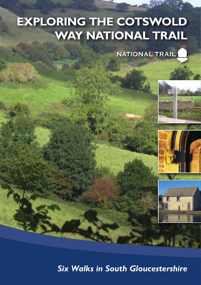# **EXPLORING THE COTSWOLD WAY NATIONAL TRAIL**

**NATIONAL TRAIL** 







*Six Walks in South Gloucestershire*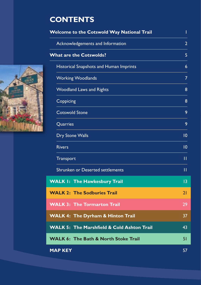## **CONTENTS**

| Welcome to the Cotswold Way National Trail            |                 |
|-------------------------------------------------------|-----------------|
| Acknowledgements and Information                      | $\overline{2}$  |
| <b>What are the Cotswolds?</b>                        | 5               |
| Historical Snapshots and Human Imprints               | 6               |
| <b>Working Woodlands</b>                              | $\overline{7}$  |
| <b>Woodland Laws and Rights</b>                       | 8               |
| Coppicing                                             | 8               |
| <b>Cotswold Stone</b>                                 | 9               |
| Quarries                                              | 9               |
| <b>Dry Stone Walls</b>                                | 0               |
| <b>Rivers</b>                                         | $\overline{10}$ |
| Transport                                             | $\mathbf{H}$    |
| Shrunken or Deserted settlements                      | п               |
| <b>WALK I: The Hawkesbury Trail</b>                   | 3               |
| <b>WALK 2: The Sodburies Trail</b>                    | 21              |
| <b>WALK 3: The Tormarton Trail</b>                    | 29              |
| <b>WALK 4: The Dyrham &amp; Hinton Trail</b>          | 37              |
| <b>WALK 5: The Marshfield &amp; Cold Ashton Trail</b> | 43              |
| <b>WALK 6: The Bath &amp; North Stoke Trail</b>       | 51              |
| <b>MAP KEY</b>                                        | 57              |

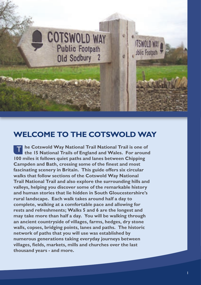

### **WELCOME TO THE COTSWOLD WAY**

**he Cotswold Way National Trail National Trail is one of**<br>The 15 National Trails of England and Wales. For aroung **the 15 National Trails of England and Wales. For around 100 miles it follows quiet paths and lanes between Chipping Campden and Bath, crossing some of the finest and most fascinating scenery in Britain. This guide offers six circular walks that follow sections of the Cotswold Way National Trail National Trail and also explore the surrounding hills and valleys, helping you discover some of the remarkable history and human stories that lie hidden in South Gloucestershire's rural landscape. Each walk takes around half a day to complete, walking at a comfortable pace and allowing for rests and refreshments; Walks 5 and 6 are the longest and may take more than half a day. You will be walking through an ancient countryside of villages, farms, hedges, dry stone walls, copses, bridging points, lanes and paths. The historic network of paths that you will use was established by numerous generations taking everyday journeys between villages, fields, markets, mills and churches over the last thousand years - and more.**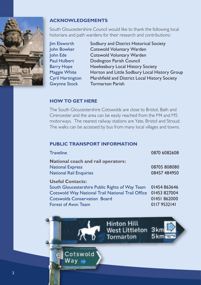

#### **ACKNOWLEDGEMENTS**

South Gloucestershire Council would like to thank the following local historians and path wardens for their research and contributions:

Jim Elsworth Sodbury and District Historical Society John Bowker Cotswold Voluntary Warden John Ede Cotswold Voluntary Warden Paul Hulbert Dodington Parish Council Barry Hope Hawkesbury Local History Society Maggie White Horton and Little Sodbury Local History Group Cyril Hartington Marshfield and District Local History Society Gwynne Stock Tormarton Parish

#### **HOW TO GET HERE**

The South Gloucestershire Cotswolds are close to Bristol, Bath and Cirencester and the area can be easily reached from the M4 and M5 motorways. The nearest railway stations are Yate, Bristol and Stroud. The walks can be accessed by bus from many local villages and towns.

#### **PUBLIC TRANSPORT INFORMATION**

| <b>Traveline</b>                                                                                                                                                                                     | 0870 6082608                                                 |
|------------------------------------------------------------------------------------------------------------------------------------------------------------------------------------------------------|--------------------------------------------------------------|
| <b>National coach and rail operators:</b><br><b>National Express</b><br><b>National Rail Enquiries</b>                                                                                               | 08705 808080<br>08457 484950                                 |
| <b>Useful Contacts:</b><br>South Gloucestershire Public Rights of Way Team<br>Cotswold Way National Trail National Trail Office<br><b>Cotswolds Conservation Board</b><br><b>Forest of Avon Team</b> | 01454 863646<br>01453 827004<br>01451 862000<br>0117 9532141 |

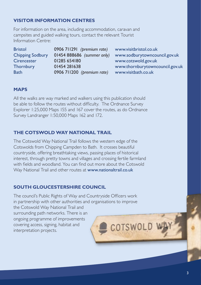#### **VISITOR INFORMATION CENTRES**

For information on the area, including accommodation, caravan and campsites and guided walking tours, contact the relevant Tourist Information Centre:

| <b>Bristol</b>          | 0906 711291 (premium rate) | www.visitbristol.co.uk          |
|-------------------------|----------------------------|---------------------------------|
| <b>Chipping Sodbury</b> | 01454 888686 (summer only) | www.sodburytowncouncil.gov.uk   |
| <b>Cirencester</b>      | 01285 654180               | www.cotswold.gov.uk             |
| Thornbury               | 01454 281638               | www.thornburytowncouncil.gov.uk |
| <b>Bath</b>             | 0906 711200 (premium rate) | www.visitbath.co.uk             |
|                         |                            |                                 |

#### **MAPS**

All the walks are way marked and walkers using this publication should be able to follow the routes without difficulty. The Ordnance Survey Explorer 1:25,000 Maps 155 and 167 cover the routes, as do Ordnance Survey Landranger 1:50,000 Maps 162 and 172.

#### **THE COTSWOLD WAY NATIONAL TRAIL**

The Cotswold Way National Trail follows the western edge of the Cotswolds from Chipping Campden to Bath. It crosses beautiful countryside, offering breathtaking views, passing places of historical interest, through pretty towns and villages and crossing fertile farmland with fields and woodland. You can find out more about the Cotswold Way National Trail and other routes at www.nationaltrail.co.uk

#### **SOUTH GLOUCESTERSHIRE COUNCIL**

The council's Public Rights of Way and Countryside Officers work in partnership with other authorities and organisations to improve the Cotswold Way National Trail and surrounding path networks. There is an ongoing programme of improvements covering access, signing, habitat and COTSWOL interpretation projects.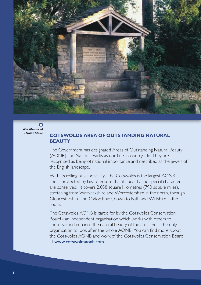

 $\bullet$ *War Memorial - North Stoke*

#### **COTSWOLDS AREA OF OUTSTANDING NATURAL BEAUTY**

The Government has designated Areas of Outstanding Natural Beauty (AONB) and National Parks as our finest countryside. They are recognised as being of national importance and described as the jewels of the English landscape.

With its rolling hills and valleys, the Cotswolds is the largest AONB and is protected by law to ensure that its beauty and special character are conserved. It covers 2,038 square kilometres (790 square miles), stretching from Warwickshire and Worcestershire in the north, through Gloucestershire and Oxfordshire, down to Bath and Wiltshire in the south.

The Cotswolds AONB is cared for by the Cotswolds Conservation Board - an independent organisation which works with others to conserve and enhance the natural beauty of the area and is the only organisation to look after the whole AONB. You can find more about the Cotswolds AONB and work of the Cotswolds Conservation Board at www.cotswoldsaonb.com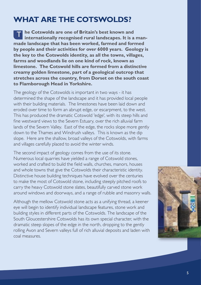### **WHAT ARE THE COTSWOLDS?**

**he Cotswolds are one of Britain's best known and<br>
internationally recognised rural landscapes. It is a internationally recognised rural landscapes. It is a manmade landscape that has been worked, farmed and formed by people and their activities for over 6000 years. Geology is the key to the Cotswolds identity, as all the towns, villages, farms and woodlands lie on one kind of rock, known as limestone. The Cotswold hills are formed from a distinctive creamy golden limestone, part of a geological outcrop that stretches across the country, from Dorset on the south coast to Flamborough Head in Yorkshire.** 

The geology of the Cotswolds is important in two ways - it has determined the shape of the landscape and it has provided local people with their building materials. The limestones have been laid down and eroded over time to form an abrupt edge, or escarpment, to the west. This has produced the dramatic Cotswold 'edge', with its steep hills and fine westward views to the Severn Estuary, over the rich alluvial farm lands of the Severn Valley. East of the edge, the rocks slope more gently down to the Thames and Windrush valleys. This is known as the dip slope. Here are the shallow, broad valleys of the Cotswolds, with farms and villages carefully placed to avoid the winter winds.

The second impact of geology comes from the use of its stone. Numerous local quarries have yielded a range of Cotswold stones, worked and crafted to build the field walls, churches, manors, houses and whole towns that give the Cotswolds their characteristic identity. Distinctive house building techniques have evolved over the centuries to make the most of Cotswold stone, including steeply pitched roofs to carry the heavy Cotswold stone slates, beautifully carved stone work around windows and doorways, and a range of rubble and masonry walls.

Although the mellow Cotswold stone acts as a unifying thread, a keener eye will begin to identify individual landscape features, stone work and building styles in different parts of the Cotswolds. The landscape of the South Gloucestershire Cotswolds has its own special character, with the dramatic steep slopes of the edge in the north, dropping to the gently rolling Avon and Severn valleys full of rich alluvial deposits and laden with coal measures.

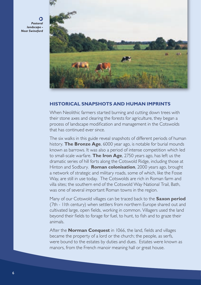*Pastoral landscape - Near Swineford*



#### **HISTORICAL SNAPSHOTS AND HUMAN IMPRINTS**

When Neolithic farmers started burning and cutting down trees with their stone axes and clearing the forests for agriculture, they began a process of landscape modification and management in the Cotswolds that has continued ever since.

The six walks in this guide reveal snapshots of different periods of human history. **The Bronze Age**, 6000 year ago, is notable for burial mounds known as barrows. It was also a period of intense competition which led to small-scale warfare. **The Iron Age**, 2750 years ago, has left us the dramatic series of hill forts along the Cotswold Ridge, including those at Hinton and Sodbury. **Roman colonisation**, 2000 years ago, brought a network of strategic and military roads, some of which, like the Fosse Way, are still in use today. The Cotswolds are rich in Roman farm and villa sites; the southern end of the Cotswold Way National Trail, Bath, was one of several important Roman towns in the region.

Many of our Cotswold villages can be traced back to the **Saxon period** (7th - 11th century) when settlers from northern Europe shared out and cultivated large, open fields, working in common. Villagers used the land beyond their fields to forage for fuel, to hunt, to fish and to graze their animals.

After the **Norman Conquest** in 1066, the land, fields and villages became the property of a lord or the church; the people, as serfs, were bound to the estates by duties and dues. Estates were known as manors, from the French manoir meaning hall or great house.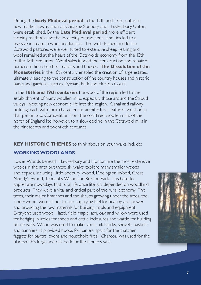During the **Early Medieval period** in the 12th and 13th centuries new market towns, such as Chipping Sodbury and Hawkesbury Upton, were established. By the **Late Medieval period** more efficient farming methods and the loosening of traditional land ties led to a massive increase in wool production. The well drained and fertile Cotswold pastures were well suited to extensive sheep rearing and wool remained at the heart of the Cotswolds economy from the 13th to the 18th centuries. Wool sales funded the construction and repair of numerous fine churches, manors and houses. **The Dissolution of the Monasteries** in the 16th century enabled the creation of large estates, ultimately leading to the construction of fine country houses and historic parks and gardens, such as Dyrham Park and Horton Court.

In the **18th and 19th centuries** the wool of the region led to the establishment of many woollen mills, especially those around the Stroud valleys, injecting new economic life into the region. Canal and railway building, each with their characteristic architectural features, went on in that period too. Competition from the coal fired woollen mills of the north of England led however, to a slow decline in the Cotswold mills in the nineteenth and twentieth centuries.

**KEY HISTORIC THEMES** to think about on your walks include:

#### **WORKING WOODLANDS**

Lower Woods beneath Hawkesbury and Horton are the most extensive woods in the area but these six walks explore many smaller woods and copses, including Little Sodbury Wood, Dodington Wood, Great Moody's Wood, Tennant's Wood and Kelston Park. It is hard to appreciate nowadays that rural life once literally depended on woodland products. They were a vital and critical part of the rural economy. The trees, their major branches and the shrubs growing under the trees, the 'underwood' were all put to use, supplying fuel for heating and power and providing the raw materials for building, tools and equipment. Everyone used wood. Hazel, field maple, ash, oak and willow were used for hedging, hurdles for sheep and cattle inclosures and wattle for building house walls. Wood was used to make rakes, pitchforks, shovels, baskets and panniers. It provided hoops for barrels, spars for the thatcher, faggots for bakers' ovens and household fires. Charcoal was used for the blacksmith's forge and oak bark for the tanner's vats.

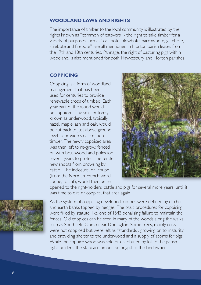#### **WOODLAND LAWS AND RIGHTS**

The importance of timber to the local community is illustrated by the rights known as "common of estovers" - the right to take timber for a variety of purposes such as "cartbote, plowbote, harrowbote, gatebote, stilebote and firebote", are all mentioned in Horton parish leases from the 17th and 18th centuries. Pannage, the right of pasturing pigs within woodland, is also mentioned for both Hawkesbury and Horton parishes

#### **COPPICING**

Coppicing is a form of woodland management that has been used for centuries to provide renewable crops of timber. Each year part of the wood would be coppiced. The smaller trees, known as underwood, typically hazel, maple, ash and oak, would be cut back to just above ground level to provide small section timber. The newly coppiced area was then left to re-grow, fenced off with brushwood and poles for several years to protect the tender new shoots from browsing by cattle. The inclosure, or coupe (from the Norman-French word coupe, to cut), would then be re-



opened to the right-holders' cattle and pigs for several more years, until it was time to cut, or coppice, that area again.



As the system of coppicing developed, coupes were defined by ditches and earth banks topped by hedges. The basic procedures for coppicing were fixed by statute, like one of 1543 penalising failure to maintain the fences. Old coppices can be seen in many of the woods along the walks, such as Southfield Clump near Dodington. Some trees, mainly oaks, were not coppiced but were left as "standards", growing on to maturity and providing shelter to the underwood and a supply of acorns for pigs. While the coppice wood was sold or distributed by lot to the parish right-holders, the standard timber, belonged to the landowner.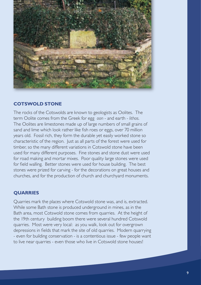

#### **COTSWOLD STONE**

The rocks of the Cotswolds are known to geologists as Oolites. The term Oolite comes from the Greek for egg *oon* - and earth - *lithos*. The Oolites are limestones made up of large numbers of small grains of sand and lime which look rather like fish roes or eggs, over 70 million years old. Fossil rich, they form the durable yet easily worked stone so characteristic of the region. Just as all parts of the forest were used for timber, so the many different variations in Cotswold stone have been used for many different purposes. Fine stones and stone dust were used for road making and mortar mixes. Poor quality large stones were used for field walling. Better stones were used for house building. The best stones were prized for carving - for the decorations on great houses and churches, and for the production of church and churchyard monuments.

#### **QUARRIES**

Quarries mark the places where Cotswold stone was, and is, extracted. While some Bath stone is produced underground in mines, as in the Bath area, most Cotswold stone comes from quarries. At the height of the 19th century building boom there were several hundred Cotswold quarries. Most were very local: as you walk, look out for overgrown depressions in fields that mark the site of old quarries. Modern quarrying - even for building conservation - is a contentious issue - few people want to live near quarries - even those who live in Cotswold stone houses!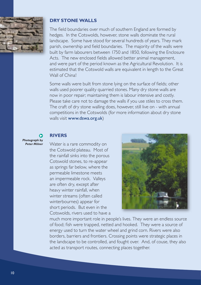

#### **DRY STONE WALLS**

The field boundaries over much of southern England are formed by hedges. In the Cotswolds, however, stone walls dominate the rural landscape. Some have stood for several hundreds of years. They mark parish, ownership and field boundaries. The majority of the walls were built by farm labourers between 1750 and 1850, following the Enclosure Acts. The new enclosed fields allowed better animal management, and were part of the period known as the Agricultural Revolution. It is estimated that the Cotswold walls are equivalent in length to the Great Wall of China!

Some walls were built from stone lying on the surface of fields; other walls used poorer quality quarried stones. Many dry stone walls are now in poor repair; maintaining them is labour intensive and costly. Please take care not to damage the walls if you use stiles to cross them. The craft of dry stone walling does, however, still live on - with annual competitions in the Cotswolds (for more information about dry stone walls visit www.dswa.org.uk)

#### *Photograph by Peter Milner*

#### **RIVERS**

Water is a rare commodity on the Cotswold plateau. Most of the rainfall sinks into the porous Cotswold stones, to re-appear as springs far below, where the permeable limestone meets an impermeable rock. Valleys are often dry, except after heavy winter rainfall, when winter streams (often called winterbournes) appear for short periods. But even in the Cotswolds, rivers used to have a



much more important role in people's lives. They were an endless source of food; fish were trapped, netted and hooked. They were a source of energy used to turn the water wheel and grind corn. Rivers were also borders, barriers and frontiers. Crossing points were strategic places in the landscape to be controlled, and fought over. And, of couse, they also acted as transport routes, connecting places together.